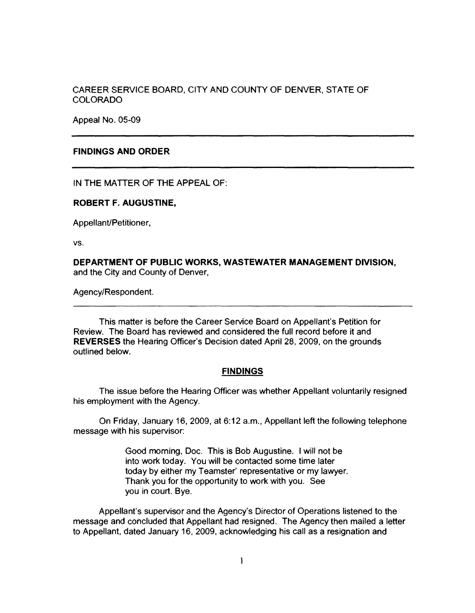# CAREER SERVICE BOARD, CITY AND COUNTY OF DENVER, STATE OF COLORADO

Appeal No. 05-09

## **FINDINGS AND ORDER**

IN THE MATTER OF THE APPEAL OF:

#### **ROBERT** F. **AUGUSTINE,**

Appellant/Petitioner,

vs.

**DEPARTMENT OF PUBLIC WORKS, WASTEWATER MANAGEMENT DIVISION,**  and the City and County of Denver,

Agency/Respondent.

This matter is before the Career Service Board on Appellant's Petition for Review. The Board has reviewed and considered the full record before it and **REVERSES** the Hearing Officer's Decision dated April 28, 2009, on the grounds outlined below.

## **FINDINGS**

The issue before the Hearing Officer was whether Appellant voluntarily resigned his employment with the Agency.

On Friday, January 16, 2009, at 6:12 a.m., Appellant left the following telephone message with his supervisor:

> Good morning, Doc. This is Bob Augustine. I will not be into work today. You will be contacted some time later today by either my Teamster' representative or my lawyer. Thank you for the opportunity to **work with** you. See you in court. Bye.

Appellant's supervisor and the Agency's Director of Operations listened to the message and concluded that Appellant had resigned. The Agency then mailed a letter to Appellant, dated January 16, 2009, acknowledging his call as a resignation and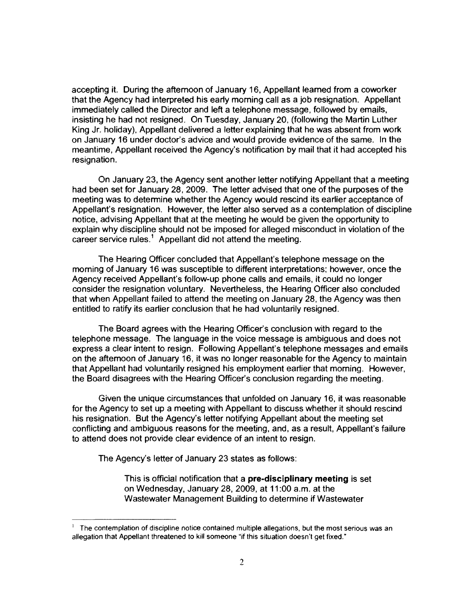accepting it. During the afternoon of January 16, Appellant learned from a coworker that the Agency had interpreted his early morning call as a job resignation. Appellant immediately called the Director and left a telephone message, followed by emails, insisting he had not resigned. On Tuesday, January 20, (following the Martin Luther King Jr. holiday), Appellant delivered a letter explaining that he was absent from work on January 16 under doctor's advice and would provide evidence of the same. In the meantime, Appellant received the Agency's notification by mail that it had accepted his resignation.

On January 23, the Agency sent another letter notifying Appellant that a meeting had been set for January 28, 2009. The letter advised that one of the purposes of the meeting was to detennine whether the Agency would rescind its earlier acceptance of Appellant's resignation. However, the letter also served as a contemplation of discipline notice, advising Appellant that at the meeting he would be given the opportunity to explain why discipline should not be imposed for alleged misconduct in violation of the career service rules.<sup>1</sup> Appellant did not attend the meeting.

The Hearing Officer concluded that Appellant's telephone message on the morning of January 16 was susceptible to different interpretations; however, once the Agency received Appellant's follow-up phone calls and emails, it could no longer consider the resignation voluntary. Nevertheless, the Hearing Officer also concluded that when Appellant failed to attend the meeting on January 28, the Agency was then entitled to ratify its earlier conclusion that he had voluntarily resigned.

The Board agrees with the Hearing Officer's conclusion with regard to the telephone message. The language in the voice message is ambiguous and does not express a clear intent to resign. Following Appellant's telephone messages and emails on the afternoon of January 16, it was no longer reasonable for the Agency to maintain that Appellant had voluntarily resigned his employment earlier that morning. However, the Board disagrees with the Hearing Officer's conclusion regarding the meeting.

Given the unique circumstances that unfolded on January 16, it was reasonable for the Agency to set up a meeting with Appellant to discuss whether it should rescind his resignation. But the Agency's letter notifying Appellant about the meeting set conflicting and ambiguous reasons for the meeting, and, as a result, Appellant's failure to attend does not provide clear evidence of an intent to resign.

The Agency's letter of January 23 states as follows:

This is official notification that a **pre-disciplinary meeting** is set on Wednesday, January 28, 2009, at 11 :00 a.m. at the Wastewater Management Building to determine if Wastewater

 $<sup>1</sup>$  The contemplation of discipline notice contained multiple allegations, but the most serious was an</sup> allegation that Appellant threatened to kill someone "if this situation doesn't get fixed."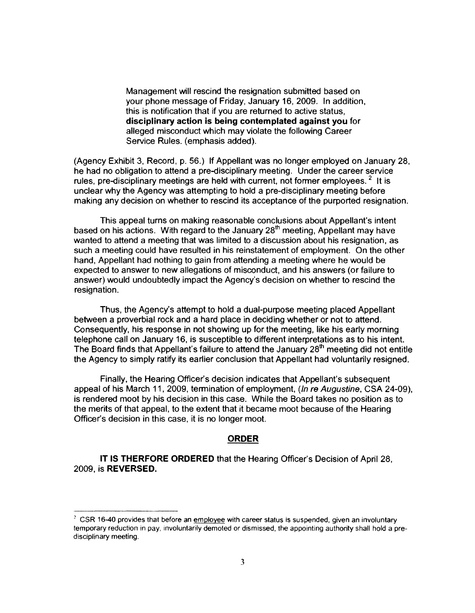Management will rescind the resignation submitted based on your phone message of Friday, January 16, 2009. In addition, this is notification that if you are returned to active status, **disciplinary action is being contemplated against you** for alleged misconduct which may violate the following Career Service Rules. (emphasis added).

(Agency Exhibit 3, Record, p. 56.) If Appellant was no longer employed on January 28, he had no obligation to attend a pre-disciplinary meeting. Under the career service rules, pre-disciplinary meetings are held with current, not former employees.  $2$  It is unclear why the Agency was attempting to hold a pre-disciplinary meeting before making any decision on whether to rescind its acceptance of the purported resignation.

This appeal turns on making reasonable conclusions about Appellant's intent based on his actions. With regard to the January 28<sup>th</sup> meeting, Appellant may have wanted to attend a meeting that was limited to a discussion about his resignation, as such a meeting could have resulted in his reinstatement of employment. On the other hand, Appellant had nothing to gain from attending a meeting where he would be expected to answer to new allegations of misconduct, and his answers (or failure to answer) would undoubtedly impact the Agency's decision on whether to rescind the resignation.

Thus, the Agency's attempt to hold a dual-purpose meeting placed Appellant between a proverbial rock and a hard place in deciding whether or not to attend. Consequently, his response in not showing up for the meeting, like his early morning telephone call on January 16, is susceptible to different interpretations as to his intent. The Board finds that Appellant's failure to attend the January 28<sup>th</sup> meeting did not entitle the Agency to simply ratify its earlier conclusion that Appellant had voluntarily resigned.

Finally, the Hearing Officer's decision indicates that Appellant's subsequent appeal of his March 11, 2009, termination of employment, *(In re Augustine, CSA 24-09)*, is rendered moot by his decision in this case. While the Board takes no position as to the merits of that appeal, to the extent that it became moot because of the Hearing Officer's decision in this case, it is no longer moot.

## **ORDER**

**IT IS THERFORE ORDERED** that the Hearing Officer's Decision of April 28, 2009, is **REVERSED.** 

 $2$  CSR 16-40 provides that before an employee with career status is suspended, given an involuntary temporary reduction in pay, involuntarily demoted or dismissed, the appointing authority shall hold a predisciplinary meeting.